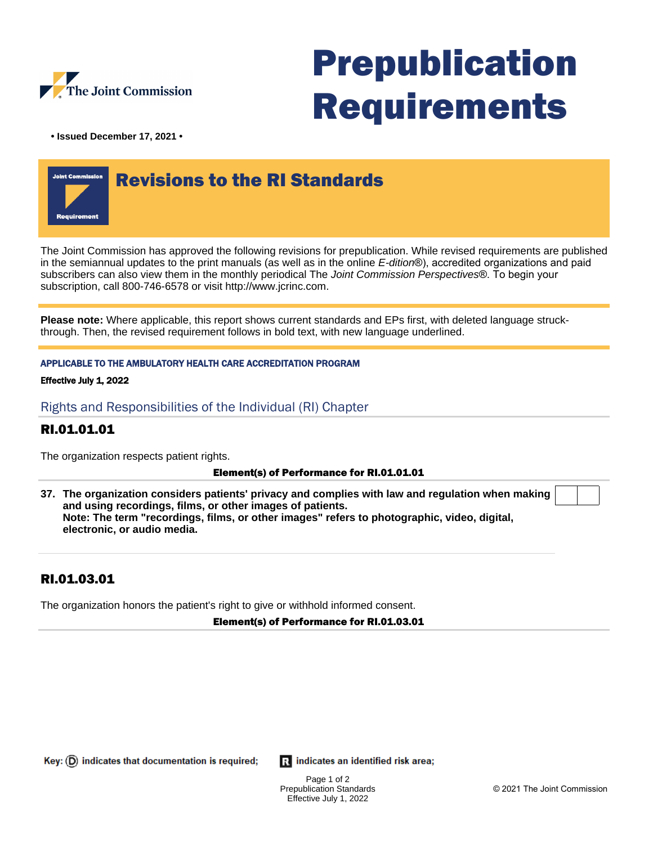

# Prepublication Requirements

**• Issued December 17, 2021 •**



The Joint Commission has approved the following revisions for prepublication. While revised requirements are published in the semiannual updates to the print manuals (as well as in the online E-dition®), accredited organizations and paid subscribers can also view them in the monthly periodical The Joint Commission Perspectives®. To begin your subscription, call 800-746-6578 or visit http://www.jcrinc.com.

**Please note:** Where applicable, this report shows current standards and EPs first, with deleted language struckthrough. Then, the revised requirement follows in bold text, with new language underlined.

## APPLICABLE TO THE AMBULATORY HEALTH CARE ACCREDITATION PROGRAM

## Effective July 1, 2022

Rights and Responsibilities of the Individual (RI) Chapter

## RI.01.01.01

The organization respects patient rights.

## Element(s) of Performance for RI.01.01.01

**37. The organization considers patients' privacy and complies with law and regulation when making and using recordings, films, or other images of patients. Note: The term "recordings, films, or other images" refers to photographic, video, digital, electronic, or audio media.**

## RI.01.03.01

The organization honors the patient's right to give or withhold informed consent.

## Element(s) of Performance for RI.01.03.01

Key:  $(D)$  indicates that documentation is required;

**R** indicates an identified risk area;

Page 1 of 2 Prepublication Standards Effective July 1, 2022